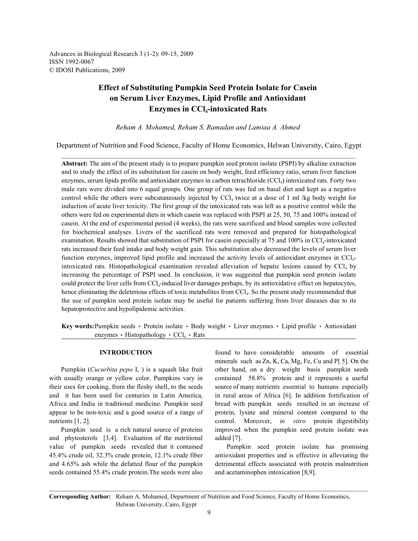Advances in Biological Research 3 (1-2): 09-15, 2009 ISSN 1992-0067 © IDOSI Publications, 2009

# **Effect of Substituting Pumpkin Seed Protein Isolate for Casein on Serum Liver Enzymes, Lipid Profile and Antioxidant Enzymes in CCl<sub>4</sub>-intoxicated Rats**

*Reham A. Mohamed, Reham S. Ramadan and Lamiaa A. Ahmed* 

Department of Nutrition and Food Science, Faculty of Home Economics, Helwan University, Cairo, Egypt

**Abstract:** The aim of the present study is to prepare pumpkin seed protein isolate (PSPI) by alkaline extraction and to study the effect of its substitution for casein on body weight, feed efficiency ratio, serum liver function enzymes, serum lipids profile and antioxidant enzymes in carbon tetrachloride (CCl<sub>4</sub>) intoxicated rats. Forty two male rats were divided into 6 equal groups. One group of rats was fed on basal diet and kept as a negative control while the others were subcutaneously injected by  $\text{CC}l_4$  twice at a dose of 1 ml /kg body weight for induction of acute liver toxicity. The first group of the intoxicated rats was left as a positive control while the others were fed on experimental diets in which casein was replaced with PSPI at 25, 50, 75 and 100% instead of casein. At the end of experimental period (4 weeks), the rats were sacrificed and blood samples were collected for biochemical analyses. Livers of the sacrificed rats were removed and prepared for histopathological examination. Results showed that substitution of PSPI for casein especially at 75 and 100% in CCl<sub>4</sub>-intoxicated rats increased their feed intake and body weight gain. This substitution also decreased the levels of serum liver function enzymes, improved lipid profile and increased the activity levels of antioxidant enzymes in  $\text{CC}l_{\text{a}}$ intoxicated rats. Histopathological examination revealed alleviation of hepatic lesions caused by  $\text{CC}l_4$  by increasing the percentage of PSPI used. In conclusion, it was suggested that pumpkin seed protein isolate could protect the liver cells from CCl<sub>4</sub>-induced liver damages perhaps, by its antioxidative effect on hepatocytes, hence eliminating the deleterious effects of toxic metabolites from CCl<sub>4</sub>. So the present study recommended that the use of pumpkin seed protein isolate may be useful for patients suffering from liver diseases due to its hepatoprotective and hypolipidemic activities.

**Key words:** Pumpkin seeds • Protein isolate • Body weight • Liver enzymes • Lipid profile • Antioxidant enzymes • Histopathology •  $CCl_4$  • Rats

with usually orange or yellow color. Pumpkins vary in contained 58.8% protein and it represents a useful their uses for cooking, from the fleshy shell, to the seeds source of many nutrients essential to humans especially and it has been used for centuries in Latin America, in rural areas of Africa [6]. In addition fortification of Africa and India in traditional medicine. Pumpkin seed bread with pumpkin seeds resulted in an increase of appear to be non-toxic and a good source of a range of protein, lysine and mineral content compared to the nutrients [1, 2]. control. Moreover, *in vitro* protein digestibility

and phytosterols [3,4]. Evaluation of the nutritional added [7]. value of pumpkin seeds revealed that it contained Pumpkin seed protein isolate has promising 45.4% crude oil, 32.3% crude protein, 12.1% crude fiber antioxidant properties and is effective in alleviating the and 4.65% ash while the defatted flour of the pumpkin detrimental effects associated with protein malnutrition seeds contained 55.4% crude protein. The seeds were also and acetaminophen intoxication [8,9].

**INTRODUCTION** found to have considerable amounts of essential Pumpkin (*Cucurbita pepo* L ) is a squash like fruit other hand, on a dry weight basis pumpkin seeds Pumpkin seed is a rich natural source of proteins improved when the pumpkin seed protein isolate was minerals such as Zn, K, Ca, Mg, Fe, Cu and P[ 5]. On the

**Corresponding Author:** Reham A. Mohamed, Department of Nutrition and Food Science, Faculty of Home Economics, Helwan University, Cairo, Egypt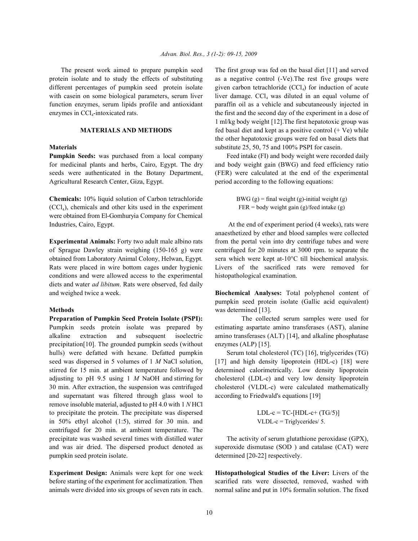**Pumpkin Seeds:** was purchased from a local company Feed intake (FI) and body weight were recorded daily Agricultural Research Center, Giza, Egypt. period according to the following equations:

**Chemicals:** 10% liquid solution of Carbon tetrachloride BWG (g) = final weight (g)-initial weight (g)  $(CCl<sub>4</sub>)$ , chemicals and other kits used in the experiment FER = body weight gain (g)/feed intake (g) were obtained from El-Gomhuryia Company for Chemical Industries, Cairo, Egypt. At the end of experiment period (4 weeks), rats were

of Sprague Dawley strain weighing (150-165 g) were centrifuged for 20 minutes at 3000 rpm. to separate the obtained from Laboratory Animal Colony, Helwan, Egypt*.* sera which were kept at-10°C till biochemical analysis. Rats were placed in wire bottom cages under hygienic Livers of the sacrificed rats were removed for conditions and were allowed access to the experimental histopathological examination. diets and water *ad libitum*. Rats were observed, fed daily and weighed twice a week. **Biochemical Analyses:** Total polyphenol content of

Pumpkin seeds protein isolate was prepared by estimating aspartate amino transferases (AST), alanine alkaline extraction and subsequent isoelectric amino transferases (ALT) [14], and alkaline phosphatase precipitation[10]. The grounded pumpkin seeds (without enzymes (ALP) [15]. hulls) were defatted with hexane. Defatted pumpkin Serum total cholesterol (TC) [16], triglycerides (TG) seed was dispersed in 5 volumes of 1 *M* NaCl solution, [17] and high density lipoprotein (HDL-c) [18] were stirred for 15 min. at ambient temperature followed by determined calorimetrically. Low density lipoprotein adjusting to pH 9.5 using 1 *M* NaOH and stirring for cholesterol (LDL-c) and very low density lipoprotein 30 min. After extraction, the suspension was centrifuged cholesterol (VLDL-c) were calculated mathematically and supernatant was filtered through glass wool to according to Friedwald's equations [19] remove insoluble material, adjusted to pH 4.0 with 1 *N* HCl to precipitate the protein. The precipitate was dispersed LDL-c =  $TC$ - $[HDL-c+(TG/5)]$ in  $50\%$  ethyl alcohol (1:5), stirred for 30 min. and VLDL-c = Triglycerides/ 5. centrifuged for 20 min. at ambient temperature. The precipitate was washed several times with distilled water The activity of serum glutathione peroxidase (GPX), and was air dried. The dispersed product denoted as superoxide dismutase (SOD ) and catalase (CAT) were pumpkin seed protein isolate. determined [20-22] respectively.

**Experiment Design:** Animals were kept for one week **Histopathological Studies of the Liver:** Livers of the before starting of the experiment for acclimatization. Then scarified rats were dissected, removed, washed with animals were divided into six groups of seven rats in each. normal saline and put in 10% formalin solution. The fixed

The present work aimed to prepare pumpkin seed The first group was fed on the basal diet [11] and served protein isolate and to study the effects of substituting as a negative control (-Ve).The rest five groups were different percentages of pumpkin seed protein isolate given carbon tetrachloride  $(CCl<sub>4</sub>)$  for induction of acute with casein on some biological parameters, serum liver liver damage.  $CCl<sub>4</sub>$  was diluted in an equal volume of function enzymes, serum lipids profile and antioxidant paraffin oil as a vehicle and subcutaneously injected in enzymes in  $\text{CC}l_4$ -intoxicated rats. the first and the second day of the experiment in a dose of **MATERIALS AND METHODS** fed basal diet and kept as a positive control (+ Ve) while **Materials** substitute 25, 50, 75 and 100% PSPI for casein. 1 ml/kg body weight [12].The first hepatotoxic group was the other hepatotoxic groups were fed on basal diets that

for medicinal plants and herbs, Cairo, Egypt. The dry and body weight gain (BWG) and feed efficiency ratio seeds were authenticated in the Botany Department, (FER) were calculated at the end of the experimental

**Experimental Animals:** Forty two adult male albino rats from the portal vein into dry centrifuge tubes and were anaesthetized by ether and blood samples were collected

**Methods** was determined [13]. pumpkin seed protein isolate (Gallic acid equivalent)

**Preparation of Pumpkin Seed Protein Isolate (PSPI):** The collected serum samples were used for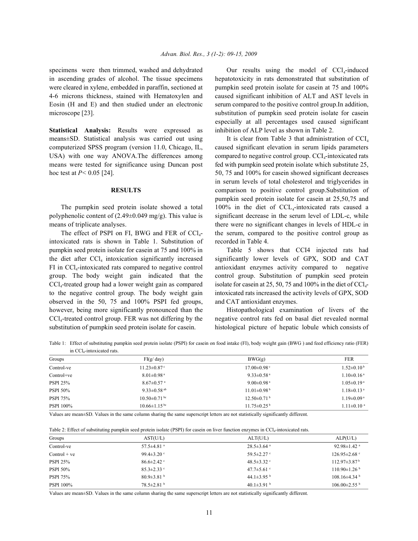specimens were then trimmed, washed and dehydrated in ascending grades of alcohol. The tissue specimens hepatotoxicity in rats demonstrated that substitution of were cleared in xylene, embedded in paraffin, sectioned at pumpkin seed protein isolate for casein at 75 and 100% 4-6 microns thickness, stained with Hematoxylen and caused significant inhibition of ALT and AST levels in Eosin (H and E) and then studied under an electronic serum compared to the positive control group. In addition, microscope [23]. substitution of pumpkin seed protein isolate for casein

**Statistical Analysis:** Results were expressed as inhibition of ALP level as shown in Table 2. means±SD. Statistical analysis was carried out using computerized SPSS program (version 11.0, Chicago, IL, caused significant elevation in serum lipids parameters USA) with one way ANOVA. The differences among compared to negative control group.  $\text{CCI}_4$ -intoxicated rats means were tested for significance using Duncan post fed with pumpkin seed protein isolate which substitute 25, hoc test at  $P < 0.05$  [24]. 50, 75 and 100% for case in showed significant decreases

intoxicated rats is shown in Table 1. Substitution of recorded in Table 4. pumpkin seed protein isolate for casein at 75 and 100% in Table 5 shows that CCI4 injected rats had the diet after CCl<sub>4</sub> intoxication significantly increased significantly lower levels of GPX, SOD and CAT FI in CCl<sub>4</sub>-intoxicated rats compared to negative control antioxidant enzymes activity compared to negative group. The body weight gain indicated that the control group. Substitution of pumpkin seed protein  $\text{CCl}_4$ -treated group had a lower weight gain as compared isolate for casein at 25, 50, 75 and 100% in the diet of CCl<sub>4</sub>to the negative control group. The body weight gain intoxicated rats increased the activity levels of GPX, SOD observed in the 50, 75 and 100% PSPI fed groups, and CAT antioxidant enzymes. however, being more significantly pronounced than the Histopathological examination of livers of the CCl<sub>4</sub>-treated control group. FER was not differing by the negative control rats fed on basal diet revealed normal substitution of pumpkin seed protein isolate for casein. histological picture of hepatic lobule which consists of

Our results using the model of  $CCl<sub>4</sub>$ -induced especially at all percentages used caused significant

**RESULTS** comparison to positive control group.Substitution of The pumpkin seed protein isolate showed a total  $100\%$  in the diet of CCL<sub>4</sub>-intoxicated rats caused a polyphenolic content of  $(2.49\pm0.049 \text{ mg/g})$ . This value is significant decrease in the serum level of LDL-c, while means of triplicate analyses. There were no significant changes in levels of HDL-c in The effect of PSPI on FI, BWG and FER of  $\text{Cl}_4$ - the serum, compared to the positive control group as It is clear from Table 3 that administration of  $CCI<sub>4</sub>$ in serum levels of total cholesterol and triglycerides in pumpkin seed protein isolate for casein at 25,50,75 and

Table 1: Effect of substituting pumpkin seed protein isolate (PSPI) for casein on food intake (FI), body weight gain (BWG ) and feed efficiency ratio (FER) in CCl<sub>4</sub>-intoxicated rats.

| Groups           | FI(g/day)                     | BWG(g)                        | <b>FER</b>                   |
|------------------|-------------------------------|-------------------------------|------------------------------|
| Control-ve       | $11.23 \pm 0.87$ <sup>c</sup> | $17.00 \pm 0.98$ <sup>c</sup> | $1.52 \pm 0.10^{\mathrm{b}}$ |
| Control+ve       | $8.01 \pm 0.98$ <sup>a</sup>  | 9.33 $\pm$ 0.58 <sup>a</sup>  | $1.10\pm0.16^{\text{ a}}$    |
| <b>PSPI 25%</b>  | $8.67 \pm 0.57$ <sup>a</sup>  | $9.00 \pm 0.98$ <sup>a</sup>  | $1.05 \pm 0.19$ <sup>a</sup> |
| <b>PSPI 50%</b>  | 9.33 $\pm$ 0.58 <sup>ab</sup> | $11.01\pm0.98b$               | $1.18 \pm 0.13$ <sup>a</sup> |
| <b>PSPI 75%</b>  | $10.50 \pm 0.71$ bc           | $12.50\pm0.71^{\mathrm{b}}$   | $1.19 \pm 0.09^{\text{a}}$   |
| <b>PSPI</b> 100% | $10.66 \pm 1.15$ bc           | $11.75 \pm 0.25^{\mathrm{b}}$ | $1.11 \pm 0.10$ <sup>a</sup> |

Values are mean±SD. Values in the same column sharing the same superscript letters are not statistically significantly different.

Table 2: Effect of substituting pumpkin seed protein isolate (PSPI) for casein on liver function enzymes in CCl<sub>4</sub>-intoxicated rats.

| Groups           | AST(U/L)                     | ALT(U/L)                     | ALP(U/L)                      |
|------------------|------------------------------|------------------------------|-------------------------------|
| Control-ve       | $57.5 \pm 4.81$ <sup>a</sup> | $28.5 \pm 3.64$ <sup>a</sup> | 92.98 $\pm$ 1.42 <sup>a</sup> |
| $Control + ve$   | 99.4 $\pm$ 3.20 $\degree$    | 59.5 $\pm$ 2.27 °            | $126.95 \pm 2.68$ °           |
| <b>PSPI 25%</b>  | $86.6 \pm 2.42$              | 48.5 $\pm$ 3.32 °            | $112.97\pm3.87b$              |
| <b>PSPI 50%</b>  | $85.3 \pm 2.33$ °            | 47.7 $\pm$ 5.61 °            | $110.90\pm1.26$ <sup>b</sup>  |
| <b>PSPI 75%</b>  | $80.9 \pm 3.81$ b            | 44.1 $\pm$ 3.95 <sup>b</sup> | $108.16\pm4.34$ b             |
| <b>PSPI</b> 100% | $78.5 \pm 2.81$ <sup>b</sup> | 40.1 $\pm$ 3.91 <sup>b</sup> | $106.00\pm2.55$ <sup>b</sup>  |

Values are mean±SD. Values in the same column sharing the same superscript letters are not statistically significantly different.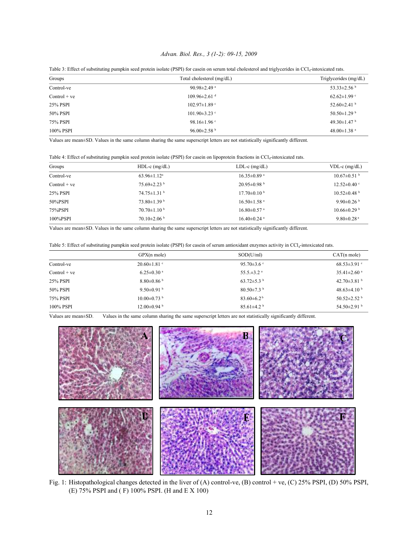## *Advan. Biol. Res., 3 (1-2): 09-15, 2009*

| Groups         | Total cholesterol (mg/dL)      | Triglycerides (mg/dL)         |
|----------------|--------------------------------|-------------------------------|
| Control-ve     | 90.98 $\pm$ 2.49 $a$           | 53.33 $\pm$ 2.56 $^{\rm b}$   |
| $Control + ve$ | $109.96 \pm 2.61$ <sup>d</sup> | $62.62 \pm 1.99$ °            |
| 25% PSPI       | $102.97 \pm 1.89$ °            | 52.60 $\pm$ 2.41 $^{\circ}$   |
| 50% PSPI       | $101.90 \pm 3.23$ °            | 50.50 $\pm$ 1.29 <sup>b</sup> |
| 75% PSPI       | 98.16 $\pm$ 1.96 $\degree$     | 49.30 $\pm$ 1.47 $^{\rm b}$   |
| 100% PSPI      | 96.00 $\pm$ 2.58 <sup>b</sup>  | 48.00 $\pm$ 1.38 $a$          |

Table 3: Effect of substituting pumpkin seed protein isolate (PSPI) for casein on serum total cholesterol and triglycerides in CCl<sub>4</sub>-intoxicated rats.

Values are mean±SD. Values in the same column sharing the same superscript letters are not statistically significantly different.

Table 4: Effect of substituting pumpkin seed protein isolate (PSPI) for casein on lipoprotein fractions in CCl<sub>4</sub>-intoxicated rats.

| Groups         | $HDL-c$ (mg/dL)               | $LDL-c$ (mg/dL)               | $VDL-c$ (mg/dL)               |
|----------------|-------------------------------|-------------------------------|-------------------------------|
| Control-ve     | $63.96 \pm 1.12^a$            | $16.35 \pm 0.89$ <sup>a</sup> | $10.67 \pm 0.51$ b            |
| $Control + ve$ | $75.69 \pm 2.23$ <sup>b</sup> | $20.95 \pm 0.98$ <sup>b</sup> | $12.52 \pm 0.40$ °            |
| 25% PSPI       | $74.75 \pm 1.31$ b            | $17.70\pm0.10^{b}$            | $10.52 \pm 0.48$ <sup>b</sup> |
| 50%PSPI        | $73.80 \pm 1.39$ b            | $16.50 \pm 1.58$ <sup>a</sup> | 9.90 $\pm$ 0.26 $^{\circ}$    |
| 75%PSPI        | $70.70 \pm 1.10^{b}$          | $16.80 \pm 0.57$ <sup>a</sup> | $10.66\pm0.29$ <sup>b</sup>   |
| 100%PSPI       | $70.10\pm2.06$ b              | $16.40 \pm 0.24$ <sup>a</sup> | $9.80 \pm 0.28$ <sup>a</sup>  |

Values are mean±SD. Values in the same column sharing the same superscript letters are not statistically significantly different.

| Table 5: Effect of substituting pumpkin seed protein isolate (PSPI) for casein of serum antioxidant enzymes activity in CCl <sub>4</sub> -intoxicated rats. |  |  |  |  |  |  |  |
|-------------------------------------------------------------------------------------------------------------------------------------------------------------|--|--|--|--|--|--|--|
|-------------------------------------------------------------------------------------------------------------------------------------------------------------|--|--|--|--|--|--|--|

|                | GPX(n mole)                   | SOD(U/ml)                    | $CAT(n \, mole)$              |
|----------------|-------------------------------|------------------------------|-------------------------------|
| Control-ve     | $20.60 \pm 1.81$ °            | 95.70 $\pm$ 3.6 $\degree$    | $68.53 \pm 3.91$ °            |
| $Control + ve$ | $6.25 \pm 0.30$ <sup>a</sup>  | 55.5 $\pm$ 3.2 <sup>a</sup>  | $35.41 \pm 2.60$ <sup>a</sup> |
| 25% PSPI       | $8.80\pm0.86$                 | 63.72 $\pm$ 5.3 <sup>b</sup> | 42.70 $\pm$ 3.81 $^{\rm b}$   |
| 50% PSPI       | 9.50 $\pm$ 0.91 $^{\rm b}$    | 80.50 $\pm$ 7.3 <sup>b</sup> | 48.63 $\pm$ 4.10 <sup>b</sup> |
| 75% PSPI       | $10.00 \pm 0.73$ <sup>b</sup> | $83.60\pm6.2^{b}$            | 50.52 $\pm$ 2.52 <sup>b</sup> |
| 100% PSPI      | $12.00\pm0.94$ b              | 85.61 $\pm$ 4.2 <sup>b</sup> | 54.50 $\pm$ 2.91 $^{\rm b}$   |

Values are mean±SD. Values in the same column sharing the same superscript letters are not statistically significantly different.



Fig. 1: Histopathological changes detected in the liver of (A) control-ve, (B) control + ve, (C) 25% PSPI, (D) 50% PSPI, (E) 75% PSPI and ( F) 100% PSPI. (H and E X 100)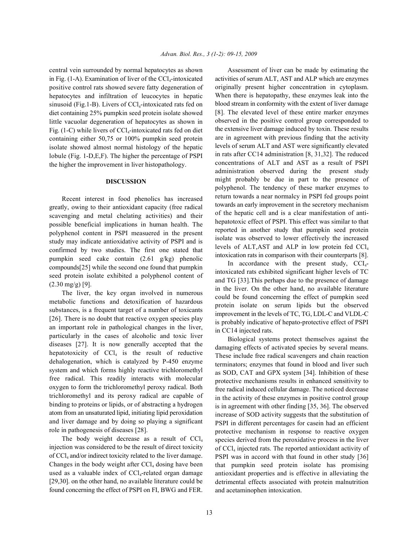central vein surrounded by normal hepatocytes as shown Assessment of liver can be made by estimating the in Fig.  $(1-A)$ . Examination of liver of the  $CCl<sub>4</sub>$ -intoxicated positive control rats showed severe fatty degeneration of hepatocytes and infiltration of leucocytes in hepatic sinusoid (Fig.1-B). Livers of  $\text{CCl}_4$ -intoxicated rats fed on diet containing 25% pumpkin seed protein isolate showed little vacuolar degeneration of hepatocytes as shown in Fig. (1-C) while livers of  $\text{CCl}_4$ -intoxicated rats fed on diet containing either 50,75 or 100% pumpkin seed protein isolate showed almost normal histology of the hepatic lobule (Fig. 1-D,E,F). The higher the percentage of PSPI the higher the improvement in liver histopathology.

### **DISCUSSION**

Recent interest in food phenolics has increased greatly, owing to their antioxidant capacity (free radical scavenging and metal chelating activities) and their possible beneficial implications in human health. The polyphenol content in PSPI measuered in the present study may indicate antioxidative activity of PSPI and is confirmed by two studies. The first one stated that pumpkin seed cake contain (2.61 g/kg) phenolic compounds[25] while the second one found that pumpkin seed protein isolate exhibited a polyphenol content of  $(2.30 \text{ mg/g})$  [9].

The liver, the key organ involved in numerous metabolic functions and detoxification of hazardous substances, is a frequent target of a number of toxicants [26]. There is no doubt that reactive oxygen species play an important role in pathological changes in the liver, particularly in the cases of alcoholic and toxic liver diseases [27]. It is now generally accepted that the hepatotoxicity of  $CCl<sub>4</sub>$  is the result of reductive dehalogenation, which is catalyzed by P-450 enzyme system and which forms highly reactive trichloromethyl free radical. This readily interacts with molecular oxygen to form the trichloromethyl peroxy radical. Both trichloromethyl and its peroxy radical are capable of binding to proteins or lipids, or of abstracting a hydrogen atom from an unsaturated lipid, initiating lipid peroxidation and liver damage and by doing so playing a significant role in pathogenesis of diseases [28].

The body weight decrease as a result of  $CCl<sub>4</sub>$ injection was considered to be the result of direct toxicity of  $CCl_4$  and/or indirect toxicity related to the liver damage. Changes in the body weight after  $\text{CCl}_4$  dosing have been used as a valuable index of  $CCl<sub>4</sub>$ -related organ damage [29,30]. on the other hand, no available literature could be found concerning the effect of PSPI on FI, BWG and FER. activities of serum ALT, AST and ALP which are enzymes originally present higher concentration in cytoplasm. When there is hepatopathy, these enzymes leak into the blood stream in conformity with the extent of liver damage [8]. The elevated level of these entire marker enzymes observed in the positive control group corresponded to the extensive liver damage induced by toxin. These results are in agreement with previous finding that the activity levels of serum ALT and AST were significantly elevated in rats after CC14 administration [8, 31,32]. The reduced concentrations of ALT and AST as a result of PSPI administration observed during the present study might probably be due in part to the presence of polyphenol. The tendency of these marker enzymes to return towards a near normalcy in PSPI fed groups point towards an early improvement in the secretory mechanism of the hepatic cell and is a clear manifestation of antihepatotoxic effect of PSPI. This effect was similar to that reported in another study that pumpkin seed protein isolate was observed to lower effectively the increased levels of ALT, AST and ALP in low protein fed  $CCl<sub>4</sub>$ intoxication rats in comparison with their counterparts [8].

In accordance with the present study,  $CCI<sub>4</sub>$ intoxicated rats exhibited significant higher levels of TC and TG [33].This perhaps due to the presence of damage in the liver. On the other hand, no available literature could be found concerning the effect of pumpkin seed protein isolate on serum lipids but the observed improvement in the levels of TC, TG, LDL-C and VLDL-C is probably indicative of hepato-protective effect of PSPI in CC14 injected rats.

Biological systems protect themselves against the damaging effects of activated species by several means. These include free radical scavengers and chain reaction terminators; enzymes that found in blood and liver such as SOD, CAT and GPX system [34]. Inhibition of these protective mechanisms results in enhanced sensitivity to free radical induced cellular damage. The noticed decrease in the activity of these enzymes in positive control group is in agreement with other finding [35, 36]. The observed increase of SOD activity suggests that the substitution of PSPI in different percentages for casein had an efficient protective mechanism in response to reactive oxygen species derived from the peroxidative process in the liver of  $CCl<sub>4</sub>$  injected rats. The reported antioxidant activity of PSPI was in accord with that found in other study [36] that pumpkin seed protein isolate has promising antioxidant properties and is effective in alleviating the detrimental effects associated with protein malnutrition and acetaminophen intoxication.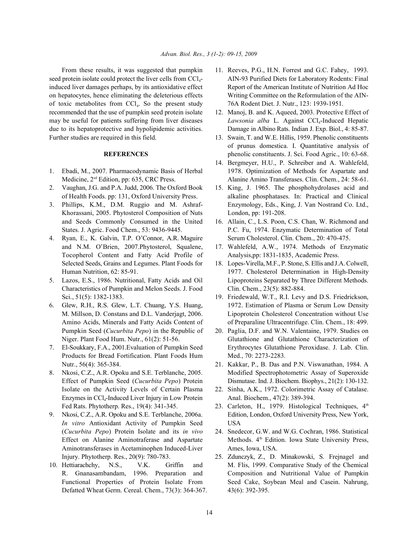seed protein isolate could protect the liver cells from CCl<sub>4</sub>- AIN-93 Purified Diets for Laboratory Rodents: Final induced liver damages perhaps, by its antioxidative effect Report of the American Institute of Nutrition Ad Hoc on hepatocytes, hence eliminating the deleterious effects Writing Committee on the Reformulation of the AINof toxic metabolites from CCl<sub>4</sub>. So the present study 76A Rodent Diet. J. Nutr., 123: 1939-1951. recommended that the use of pumpkin seed protein isolate 12. Manoj, B. and K. Aqueed, 2003. Protective Effect of may be useful for patients suffering from liver diseases due to its hepatoprotective and hypolipidemic activities. Damage in Albino Rats. Indian J. Exp. Biol., 4: 85-87. Further studies are required in this field. 13. Swain, T. and W.E. Hillis, 1959. Phenolic constituents

- 
- 2. Vaughan, J.G. and P.A. Judd, 2006. The Oxford Book 15. King, J. 1965. The phosphohydrolases acid and
- Khorassani, 2005. Phytosterol Composition of Nuts London, pp: 191-208.
- and N.M. O'Brien, 2007.Phytosterol, Squalene, 17. Wahlefeld, A.W., 1974. Methods of Enzymatic Tocopherol Content and Fatty Acid Profile of Analysis,pp: 1831-1835, Academic Press. Selected Seeds, Grains and Legumes. Plant Foods for 18. Lopes-Virella, M.F., P. Stone, S. Ellis and J.A. Colwell,
- Characteristics of Pumpkin and Melon Seeds. J. Food Clin. Chem., 23(5): 882-884. Sci., 51(5): 1382-1383. 19. Friedewald, W.T., R.I. Levy and D.S. Friedrickson,
- Pumpkin Seed (*Cucurbita Pepo*) in the Republic of 20. Paglia, D.F. and W.N. Valentaine, 1979. Studies on
- Products for Bread Fortification. Plant Foods Hum Med., 70: 2273-2283. Nutr., 56(4): 365-384. 21. Kakkar, P., B. Das and P.N. Viswanathan, 1984. A
- Isolate on the Activity Levels of Certain Plasma 22. Sinha, A.K., 1972. Colorimetric Assay of Catalase. Enzymes in CCl<sub>4</sub>-Induced Liver Injury in Low Protein Anal. Biochem., 47(2): 389-394.
- *In vitro* Antioxidant Activity of Pumpkin Seed USA (*Cucurbita Pepo*) Protein Isolate and its *in vivo* 24. Snedecor, G.W. and W.G. Cochran, 1986. Statistical Aminotransferases in Acetaminophen Induced-Liver Ames, Iowa, USA. Injury. Phytotherp. Res., 20(9): 780-783. 25. Zdunczyk, Z., D. Minakowski, S. Frejnagel and
- Defatted Wheat Germ. Cereal. Chem., 73(3): 364-367. 43(6): 392-395.
- From these results, it was suggested that pumpkin 11. Reeves, P.G., H.N. Forrest and G.C. Fahey, 1993.
	- Lawsonia alba L. Against CCl<sub>4</sub>-Induced Hepatic
	- **REFERENCES** phenolic constituents. J. Sci. Food Agric., 10: 63-68. of prunus domestica. I. Quantitative analysis of
- 1. Ebadi, M., 2007. Pharmacodynamic Basis of Herbal 1978. Optimization of Methods for Aspartate and Medicine, 2<sup>ed</sup> Edition, pp: 635, CRC Press. Alanine Amino Transferases. Clin. Chem., 24: 58-61. 14. Bergmeyer, H.U., P. Schreiber and A. Wahlefeld,
- of Health Foods. pp: 131, Oxford University Press. alkaline phosphatases. In: Practical and Clinical 3. Phillips, K.M., D.M. Ruggio and M. Ashraf- Enzymology, Eds., King, J. Van Nostrand Co. Ltd.,
- and Seeds Commonly Consumed in the United 16. Allain, C., L.S. Poon, C.S. Chan, W. Richmond and States. J. Agric. Food Chem., 53: 9436-9445. P.C. Fu, 1974. Enzymatic Determination of Total 4. Ryan, E., K. Galvin, T.P. O'Connor, A.R. Maguire Serum Cholesterol. Clin. Chem., 20: 470-475.
	-
- Human Nutrition, 62: 85-91. 1977. Cholesterol Determination in High-Density 5. Lazos, E.S., 1986. Nutritional, Fatty Acids and Oil Lipoproteins Separated by Three Different Methods.
- 6. Glew, R.H., R.S. Glew, L.T. Chuang, Y.S. Huang, 1972. Estimation of Plasma or Serum Low Density M. Millson, D. Constans and D.L. Vanderjagt, 2006. Lipoprotein Cholesterol Concentration without Use Amino Acids, Minerals and Fatty Acids Content of of Preparaline Ultracentrifuge. Clin. Chem., 18: 499.
- Niger. Plant Food Hum. Nutr., 61(2): 51-56. Glutathione and Glutathione Characterization of 7. El-Soukkary, F.A., 2001.Evaluation of Pumpkin Seed Erythrocytes Glutathione Peroxidase. J. Lab. Clin.
- 8. Nkosi, C.Z., A.R. Opoku and S.E. Terblanche, 2005. Modified Spectrophotometric Assay of Superoxide Effect of Pumpkin Seed (*Cucurbita Pepo*) Protein Dismutase. Ind. J. Biochem. Biophys., 21(2): 130-132.
	-
- Fed Rats. Phytotherp. Res., 19(4): 341-345. 23. Carleton, H., 1979. Histological Techniques,  $4^{\text{th}}$ 9. Nkosi, C.Z., A.R. Opoku and S.E. Terblanche, 2006a. Edition, London, Oxford University Press, New York,
	- Effect on Alanine Aminotraferase and Aspartate Methods.  $4^{\text{th}}$  Edition. Iowa State University Press,
- 10. Hettiarachchy, N.S., V.K. Griffin and M. Flis, 1999. Comparative Study of the Chemical R. Gnanasambandam, 1996. Preparation and Composition and Nutritional Value of Pumpkin Functional Properties of Protein Isolate From Seed Cake, Soybean Meal and Casein. Nahrung,